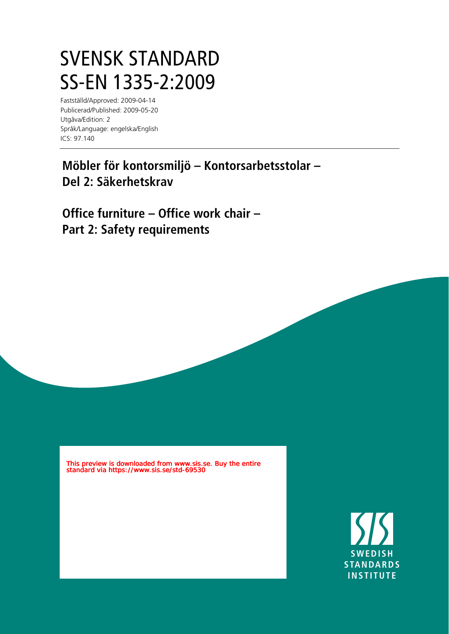## SVENSK STANDARD SS-EN 1335-2:2009

Fastställd/Approved: 2009-04-14 Publicerad/Published: 2009-05-20 Utgåva/Edition: 2 Språk/Language: engelska/English ICS: 97.140

### **Möbler för kontorsmiljö – Kontorsarbetsstolar – Del 2: Säkerhetskrav**

**Office furniture – Office work chair – Part 2: Safety requirements**

This preview is downloaded from www.sis.se. Buy the entire standard via https://www.sis.se/std-69530

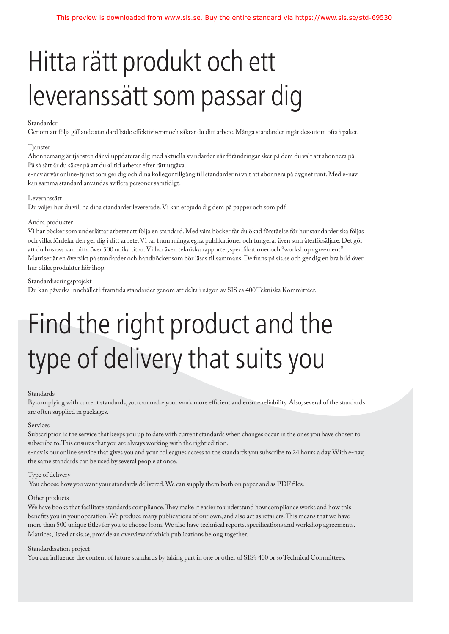## Hitta rätt produkt och ett leveranssätt som passar dig

#### Standarder

Genom att följa gällande standard både effektiviserar och säkrar du ditt arbete. Många standarder ingår dessutom ofta i paket.

#### Tjänster

Abonnemang är tjänsten där vi uppdaterar dig med aktuella standarder när förändringar sker på dem du valt att abonnera på. På så sätt är du säker på att du alltid arbetar efter rätt utgåva.

e-nav är vår online-tjänst som ger dig och dina kollegor tillgång till standarder ni valt att abonnera på dygnet runt. Med e-nav kan samma standard användas av flera personer samtidigt.

#### Leveranssätt

Du väljer hur du vill ha dina standarder levererade. Vi kan erbjuda dig dem på papper och som pdf.

#### Andra produkter

Vi har böcker som underlättar arbetet att följa en standard. Med våra böcker får du ökad förståelse för hur standarder ska följas och vilka fördelar den ger dig i ditt arbete. Vi tar fram många egna publikationer och fungerar även som återförsäljare. Det gör att du hos oss kan hitta över 500 unika titlar. Vi har även tekniska rapporter, specikationer och "workshop agreement". Matriser är en översikt på standarder och handböcker som bör läsas tillsammans. De finns på sis.se och ger dig en bra bild över hur olika produkter hör ihop.

#### Standardiseringsprojekt

Du kan påverka innehållet i framtida standarder genom att delta i någon av SIS ca 400 Tekniska Kommittéer.

# Find the right product and the type of delivery that suits you

#### Standards

By complying with current standards, you can make your work more efficient and ensure reliability. Also, several of the standards are often supplied in packages.

#### Services

Subscription is the service that keeps you up to date with current standards when changes occur in the ones you have chosen to subscribe to. This ensures that you are always working with the right edition.

e-nav is our online service that gives you and your colleagues access to the standards you subscribe to 24 hours a day. With e-nav, the same standards can be used by several people at once.

#### Type of delivery

You choose how you want your standards delivered. We can supply them both on paper and as PDF files.

#### Other products

We have books that facilitate standards compliance. They make it easier to understand how compliance works and how this benefits you in your operation. We produce many publications of our own, and also act as retailers. This means that we have more than 500 unique titles for you to choose from. We also have technical reports, specifications and workshop agreements. Matrices, listed at sis.se, provide an overview of which publications belong together.

#### Standardisation project

You can influence the content of future standards by taking part in one or other of SIS's 400 or so Technical Committees.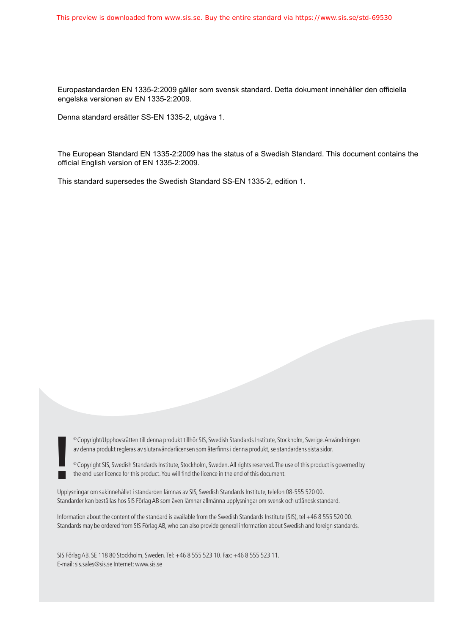Europastandarden EN 1335-2:2009 gäller som svensk standard. Detta dokument innehåller den officiella engelska versionen av EN 1335-2:2009.

Denna standard ersätter SS-EN 1335-2, utgåva 1.

The European Standard EN 1335-2:2009 has the status of a Swedish Standard. This document contains the official English version of EN 1335-2:2009.

This standard supersedes the Swedish Standard SS-EN 1335-2, edition 1.

© Copyright/Upphovsrätten till denna produkt tillhör SIS, Swedish Standards Institute, Stockholm, Sverige. Användningen av denna produkt regleras av slutanvändarlicensen som återfinns i denna produkt, se standardens sista sidor.

© Copyright/Upphovsrätten till denna produkt tillhör SIS, Swedish Standards Institute, Stockholm, Sverige. Användningen<br>av denna produkt regleras av slutanvändarlicensen som återfinns i denna produkt, se standardens sista

Upplysningar om sakinnehållet i standarden lämnas av SIS, Swedish Standards Institute, telefon 08-555 520 00. Standarder kan beställas hos SIS Förlag AB som även lämnar allmänna upplysningar om svensk och utländsk standard.

Information about the content of the standard is available from the Swedish Standards Institute (SIS), tel +46 8 555 520 00. Standards may be ordered from SIS Förlag AB, who can also provide general information about Swedish and foreign standards.

SIS Förlag AB, SE 118 80 Stockholm, Sweden. Tel: +46 8 555 523 10. Fax: +46 8 555 523 11. E-mail: sis.sales@sis.se Internet: www.sis.se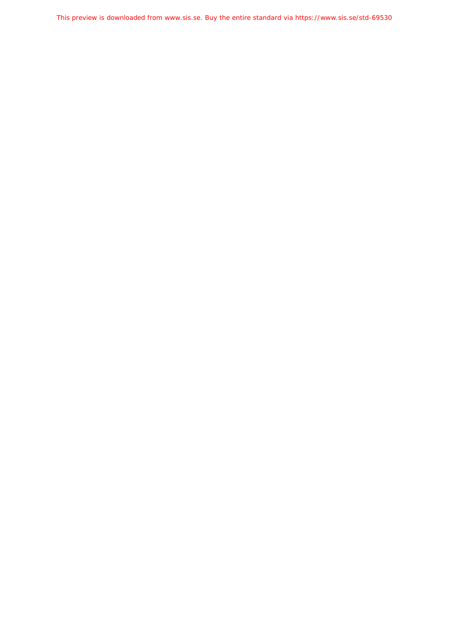This preview is downloaded from www.sis.se. Buy the entire standard via https://www.sis.se/std-69530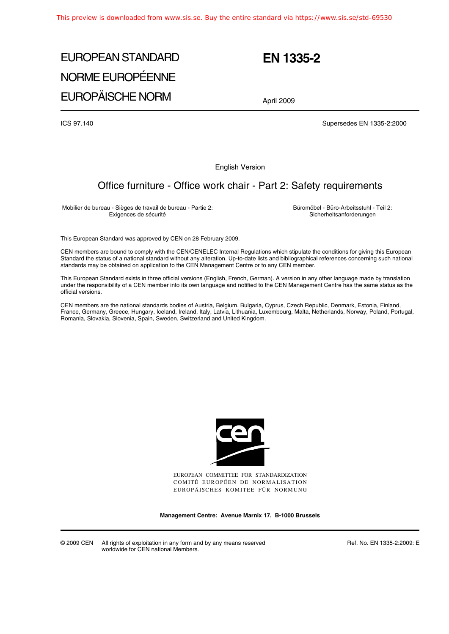## EUROPEAN STANDARD NORME EUROPÉENNE EUROPÄISCHE NORM

April 2009

**EN 1335-2**

**EN 1335-2** 

ICS 97.140 Supersedes EN 1335-2:2000

English Version

#### Office furniture - Office work chair - Part 2: Safety requirements

Mobilier de bureau - Sièges de travail de bureau - Partie 2: Exigences de sécurité

Büromöbel - Büro-Arbeitsstuhl - Teil 2: Sicherheitsanforderungen

This European Standard was approved by CEN on 28 February 2009.

CEN members are bound to comply with the CEN/CENELEC Internal Regulations which stipulate the conditions for giving this European Standard the status of a national standard without any alteration. Up-to-date lists and bibliographical references concerning such national standards may be obtained on application to the CEN Management Centre or to any CEN member.

This European Standard exists in three official versions (English, French, German). A version in any other language made by translation under the responsibility of a CEN member into its own language and notified to the CEN Management Centre has the same status as the official versions.

CEN members are the national standards bodies of Austria, Belgium, Bulgaria, Cyprus, Czech Republic, Denmark, Estonia, Finland, France, Germany, Greece, Hungary, Iceland, Ireland, Italy, Latvia, Lithuania, Luxembourg, Malta, Netherlands, Norway, Poland, Portugal, Romania, Slovakia, Slovenia, Spain, Sweden, Switzerland and United Kingdom.



EUROPEAN COMMITTEE FOR STANDARDIZATION COMITÉ EUROPÉEN DE NORMALISATION EUROPÄISCHES KOMITEE FÜR NORMUNG

**Management Centre: Avenue Marnix 17, B-1000 Brussels**

© 2009 CEN All rights of exploitation in any form and by any means reserved worldwide for CEN national Members.

Ref. No. EN 1335-2:2009: E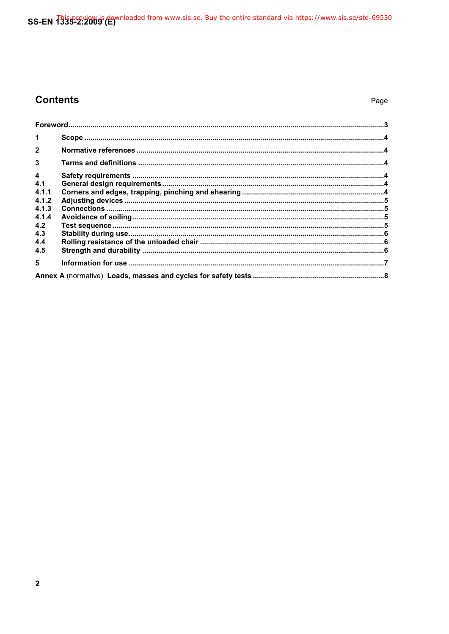SS-EN 1335-2:2009 (E) who aded from www.sis.se. Buy the entire standard via https://www.sis.se/std-69530

### **Contents**

| $\mathbf 1$    |  |  |
|----------------|--|--|
| $\overline{2}$ |  |  |
| $\overline{3}$ |  |  |
| $\overline{4}$ |  |  |
| 4.1            |  |  |
| 4.1.1          |  |  |
| 4.1.2          |  |  |
| 4.1.3          |  |  |
| 4.1.4          |  |  |
| 4.2            |  |  |
| 4.3            |  |  |
| 4.4            |  |  |
| 4.5            |  |  |
| 5 <sub>5</sub> |  |  |
|                |  |  |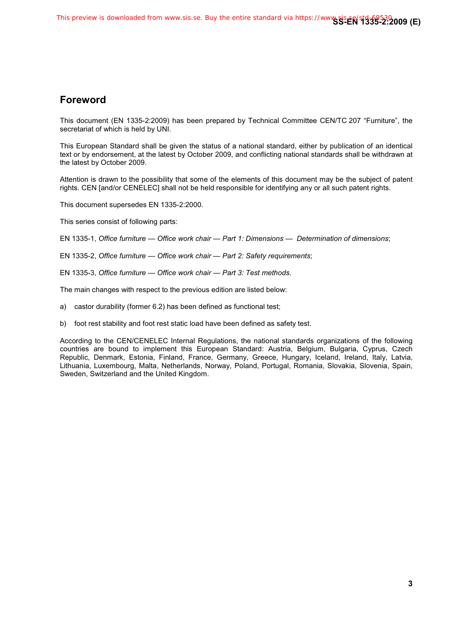**EN 1335-2:2009 (E)** 

#### **Foreword**

This document (EN 1335-2:2009) has been prepared by Technical Committee CEN/TC 207 "Furniture", the secretariat of which is held by UNI.

This European Standard shall be given the status of a national standard, either by publication of an identical text or by endorsement, at the latest by October 2009, and conflicting national standards shall be withdrawn at the latest by October 2009.

Attention is drawn to the possibility that some of the elements of this document may be the subject of patent rights. CEN [and/or CENELEC] shall not be held responsible for identifying any or all such patent rights.

This document supersedes EN 1335-2:2000.

This series consist of following parts:

EN 1335-1, *Office furniture — Office work chair — Part 1: Dimensions — Determination of dimensions*;

EN 1335-2, *Office furniture — Office work chair — Part 2: Safety requirements*;

EN 1335-3, *Office furniture — Office work chair — Part 3: Test methods*.

The main changes with respect to the previous edition are listed below:

- a) castor durability (former 6.2) has been defined as functional test;
- b) foot rest stability and foot rest static load have been defined as safety test.

According to the CEN/CENELEC Internal Regulations, the national standards organizations of the following countries are bound to implement this European Standard: Austria, Belgium, Bulgaria, Cyprus, Czech Republic, Denmark, Estonia, Finland, France, Germany, Greece, Hungary, Iceland, Ireland, Italy, Latvia, Lithuania, Luxembourg, Malta, Netherlands, Norway, Poland, Portugal, Romania, Slovakia, Slovenia, Spain, Sweden, Switzerland and the United Kingdom.